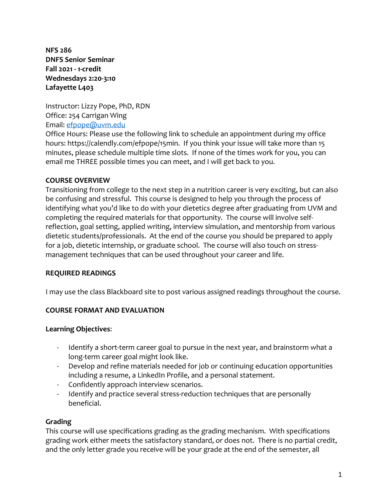**NFS 286 DNFS Senior Seminar Fall 2021 - 1-credit Wednesdays 2:20-3:10 Lafayette L403**

Instructor: Lizzy Pope, PhD, RDN Office: 254 Carrigan Wing Email: [efpope@uvm.edu](mailto:efpope@uvm.edu)

Office Hours: Please use the following link to schedule an appointment during my office hours: https://calendly.com/efpope/15min. If you think your issue will take more than 15 minutes, please schedule multiple time slots. If none of the times work for you, you can email me THREE possible times you can meet, and I will get back to you.

#### **COURSE OVERVIEW**

Transitioning from college to the next step in a nutrition career is very exciting, but can also be confusing and stressful. This course is designed to help you through the process of identifying what you'd like to do with your dietetics degree after graduating from UVM and completing the required materials for that opportunity. The course will involve selfreflection, goal setting, applied writing, interview simulation, and mentorship from various dietetic students/professionals. At the end of the course you should be prepared to apply for a job, dietetic internship, or graduate school. The course will also touch on stressmanagement techniques that can be used throughout your career and life.

#### **REQUIRED READINGS**

I may use the class Blackboard site to post various assigned readings throughout the course.

#### **COURSE FORMAT AND EVALUATION**

#### **Learning Objectives**:

- Identify a short-term career goal to pursue in the next year, and brainstorm what a long-term career goal might look like.
- Develop and refine materials needed for job or continuing education opportunities including a resume, a LinkedIn Profile, and a personal statement.
- Confidently approach interview scenarios.
- Identify and practice several stress-reduction techniques that are personally beneficial.

#### **Grading**

This course will use specifications grading as the grading mechanism. With specifications grading work either meets the satisfactory standard, or does not. There is no partial credit, and the only letter grade you receive will be your grade at the end of the semester, all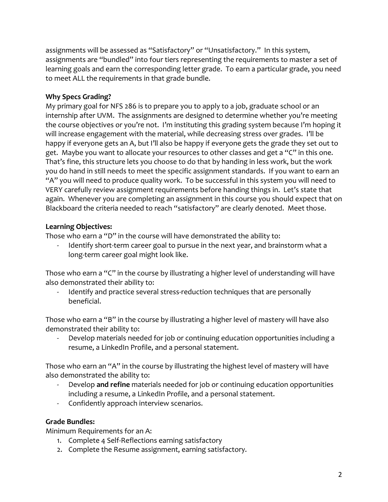assignments will be assessed as "Satisfactory" or "Unsatisfactory." In this system, assignments are "bundled" into four tiers representing the requirements to master a set of learning goals and earn the corresponding letter grade. To earn a particular grade, you need to meet ALL the requirements in that grade bundle.

### **Why Specs Grading?**

My primary goal for NFS 286 is to prepare you to apply to a job, graduate school or an internship after UVM. The assignments are designed to determine whether you're meeting the course objectives or you're not. I'm instituting this grading system because I'm hoping it will increase engagement with the material, while decreasing stress over grades. I'll be happy if everyone gets an A, but I'll also be happy if everyone gets the grade they set out to get. Maybe you want to allocate your resources to other classes and get a "C" in this one. That's fine, this structure lets you choose to do that by handing in less work, but the work you do hand in still needs to meet the specific assignment standards. If you want to earn an "A" you will need to produce quality work. To be successful in this system you will need to VERY carefully review assignment requirements before handing things in. Let's state that again. Whenever you are completing an assignment in this course you should expect that on Blackboard the criteria needed to reach "satisfactory" are clearly denoted. Meet those.

### **Learning Objectives:**

Those who earn a "D" in the course will have demonstrated the ability to:

Identify short-term career goal to pursue in the next year, and brainstorm what a long-term career goal might look like.

Those who earn a "C" in the course by illustrating a higher level of understanding will have also demonstrated their ability to:

Identify and practice several stress-reduction techniques that are personally beneficial.

Those who earn a "B" in the course by illustrating a higher level of mastery will have also demonstrated their ability to:

Develop materials needed for job or continuing education opportunities including a resume, a LinkedIn Profile, and a personal statement.

Those who earn an "A" in the course by illustrating the highest level of mastery will have also demonstrated the ability to:

- Develop **and refine** materials needed for job or continuing education opportunities including a resume, a LinkedIn Profile, and a personal statement.
- Confidently approach interview scenarios.

## **Grade Bundles:**

Minimum Requirements for an A:

- 1. Complete 4 Self-Reflections earning satisfactory
- 2. Complete the Resume assignment, earning satisfactory.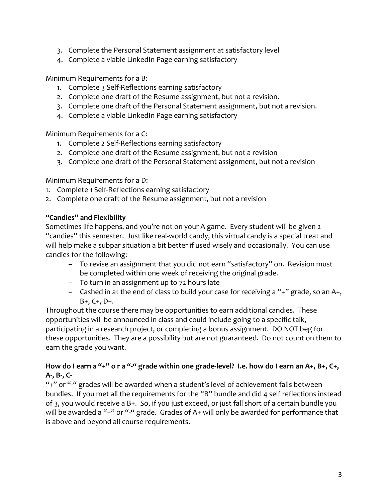- 3. Complete the Personal Statement assignment at satisfactory level
- 4. Complete a viable LinkedIn Page earning satisfactory

Minimum Requirements for a B:

- 1. Complete 3 Self-Reflections earning satisfactory
- 2. Complete one draft of the Resume assignment, but not a revision.
- 3. Complete one draft of the Personal Statement assignment, but not a revision.
- 4. Complete a viable LinkedIn Page earning satisfactory

Minimum Requirements for a C:

- 1. Complete 2 Self-Reflections earning satisfactory
- 2. Complete one draft of the Resume assignment, but not a revision
- 3. Complete one draft of the Personal Statement assignment, but not a revision

Minimum Requirements for a D:

- 1. Complete 1 Self-Reflections earning satisfactory
- 2. Complete one draft of the Resume assignment, but not a revision

#### **"Candies" and Flexibility**

Sometimes life happens, and you're not on your A game. Every student will be given 2 "candies" this semester. Just like real-world candy, this virtual candy is a special treat and will help make a subpar situation a bit better if used wisely and occasionally. You can use candies for the following:

- To revise an assignment that you did not earn "satisfactory" on. Revision must be completed within one week of receiving the original grade.
- To turn in an assignment up to 72 hours late
- $-$  Cashed in at the end of class to build your case for receiving a "+" grade, so an A+, B+, C+, D+.

Throughout the course there may be opportunities to earn additional candies. These opportunities will be announced in class and could include going to a specific talk, participating in a research project, or completing a bonus assignment. DO NOT beg for these opportunities. They are a possibility but are not guaranteed. Do not count on them to earn the grade you want.

## **How do I earn a "+" o r a "-" grade within one grade-level? I.e. how do I earn an A+, B+, C+, A-, B-, C-**

"+" or "-" grades will be awarded when a student's level of achievement falls between bundles. If you met all the requirements for the "B" bundle and did 4 self reflections instead of 3, you would receive a B+. So, if you just exceed, or just fall short of a certain bundle you will be awarded a "+" or "-" grade. Grades of A+ will only be awarded for performance that is above and beyond all course requirements.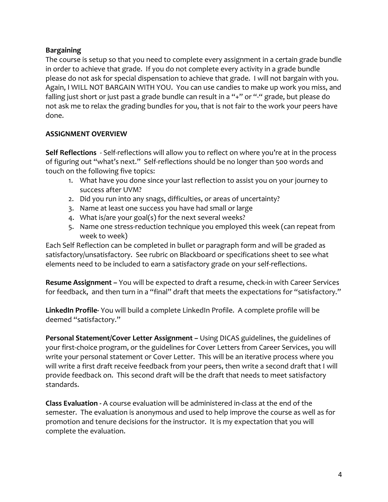## **Bargaining**

The course is setup so that you need to complete every assignment in a certain grade bundle in order to achieve that grade. If you do not complete every activity in a grade bundle please do not ask for special dispensation to achieve that grade. I will not bargain with you. Again, I WILL NOT BARGAIN WITH YOU. You can use candies to make up work you miss, and falling just short or just past a grade bundle can result in a "+" or "-" grade, but please do not ask me to relax the grading bundles for you, that is not fair to the work your peers have done.

## **ASSIGNMENT OVERVIEW**

**Self Reflections** - Self-reflections will allow you to reflect on where you're at in the process of figuring out "what's next." Self-reflections should be no longer than 500 words and touch on the following five topics:

- 1. What have you done since your last reflection to assist you on your journey to success after UVM?
- 2. Did you run into any snags, difficulties, or areas of uncertainty?
- 3. Name at least one success you have had small or large
- 4. What is/are your goal(s) for the next several weeks?
- 5. Name one stress-reduction technique you employed this week (can repeat from week to week)

Each Self Reflection can be completed in bullet or paragraph form and will be graded as satisfactory/unsatisfactory. See rubric on Blackboard or specifications sheet to see what elements need to be included to earn a satisfactory grade on your self-reflections.

**Resume Assignment –** You will be expected to draft a resume, check-in with Career Services for feedback, and then turn in a "final" draft that meets the expectations for "satisfactory."

**LinkedIn Profile-** You will build a complete LinkedIn Profile. A complete profile will be deemed "satisfactory."

**Personal Statement/Cover Letter Assignment –** Using DICAS guidelines, the guidelines of your first-choice program, or the guidelines for Cover Letters from Career Services, you will write your personal statement or Cover Letter. This will be an iterative process where you will write a first draft receive feedback from your peers, then write a second draft that I will provide feedback on. This second draft will be the draft that needs to meet satisfactory standards.

**Class Evaluation -** A course evaluation will be administered in-class at the end of the semester. The evaluation is anonymous and used to help improve the course as well as for promotion and tenure decisions for the instructor. It is my expectation that you will complete the evaluation.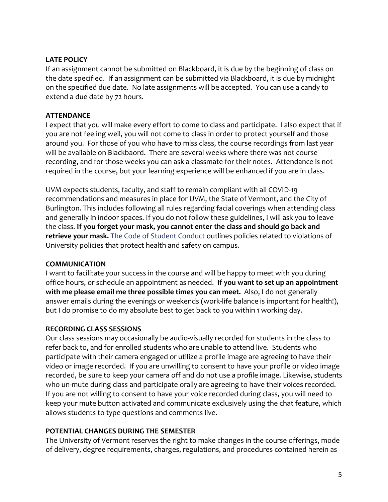#### **LATE POLICY**

If an assignment cannot be submitted on Blackboard, it is due by the beginning of class on the date specified. If an assignment can be submitted via Blackboard, it is due by midnight on the specified due date. No late assignments will be accepted. You can use a candy to extend a due date by 72 hours.

## **ATTENDANCE**

I expect that you will make every effort to come to class and participate. I also expect that if you are not feeling well, you will not come to class in order to protect yourself and those around you. For those of you who have to miss class, the course recordings from last year will be available on Blackbaord. There are several weeks where there was not course recording, and for those weeks you can ask a classmate for their notes. Attendance is not required in the course, but your learning experience will be enhanced if you are in class.

UVM expects students, faculty, and staff to remain compliant with all COVID-19 recommendations and measures in place for UVM, the State of Vermont, and the City of Burlington. This includes following all rules regarding facial coverings when attending class and generally in indoor spaces. If you do not follow these guidelines, I will ask you to leave the class. **If you forget your mask, you cannot enter the class and should go back and retrieve your mask.** The [Code of Student Conduct](https://www.uvm.edu/sites/default/files/UVM-Policies/policies/studentcode.pdf) outlines policies related to violations of University policies that protect health and safety on campus.

#### **COMMUNICATION**

I want to facilitate your success in the course and will be happy to meet with you during office hours, or schedule an appointment as needed. **If you want to set up an appointment with me please email me three possible times you can meet.** Also, I do not generally answer emails during the evenings or weekends (work-life balance is important for health!), but I do promise to do my absolute best to get back to you within 1 working day.

## **RECORDING CLASS SESSIONS**

Our class sessions may occasionally be audio-visually recorded for students in the class to refer back to, and for enrolled students who are unable to attend live. Students who participate with their camera engaged or utilize a profile image are agreeing to have their video or image recorded. If you are unwilling to consent to have your profile or video image recorded, be sure to keep your camera off and do not use a profile image. Likewise, students who un-mute during class and participate orally are agreeing to have their voices recorded. If you are not willing to consent to have your voice recorded during class, you will need to keep your mute button activated and communicate exclusively using the chat feature, which allows students to type questions and comments live.

## **POTENTIAL CHANGES DURING THE SEMESTER**

The University of Vermont reserves the right to make changes in the course offerings, mode of delivery, degree requirements, charges, regulations, and procedures contained herein as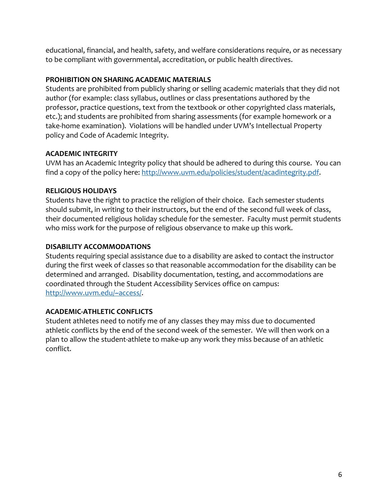educational, financial, and health, safety, and welfare considerations require, or as necessary to be compliant with governmental, accreditation, or public health directives.

## **PROHIBITION ON SHARING ACADEMIC MATERIALS**

Students are prohibited from publicly sharing or selling academic materials that they did not author (for example: class syllabus, outlines or class presentations authored by the professor, practice questions, text from the textbook or other copyrighted class materials, etc.); and students are prohibited from sharing assessments (for example homework or a take-home examination). Violations will be handled under UVM's Intellectual Property policy and Code of Academic Integrity.

### **ACADEMIC INTEGRITY**

UVM has an Academic Integrity policy that should be adhered to during this course. You can find a copy of the policy here: [http://www.uvm.edu/policies/student/acadintegrity.pdf.](http://www.uvm.edu/policies/student/acadintegrity.pdf)

### **RELIGIOUS HOLIDAYS**

Students have the right to practice the religion of their choice. Each semester students should submit, in writing to their instructors, but the end of the second full week of class, their documented religious holiday schedule for the semester. Faculty must permit students who miss work for the purpose of religious observance to make up this work.

### **DISABILITY ACCOMMODATIONS**

Students requiring special assistance due to a disability are asked to contact the instructor during the first week of classes so that reasonable accommodation for the disability can be determined and arranged. Disability documentation, testing, and accommodations are coordinated through the Student Accessibility Services office on campus: [http://www.uvm.edu/~access/.](http://www.uvm.edu/%7Eaccess/)

## **ACADEMIC-ATHLETIC CONFLICTS**

Student athletes need to notify me of any classes they may miss due to documented athletic conflicts by the end of the second week of the semester. We will then work on a plan to allow the student-athlete to make-up any work they miss because of an athletic conflict.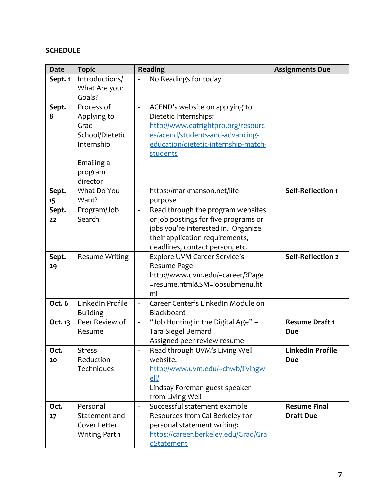# **SCHEDULE**

| <b>Date</b> | <b>Topic</b>          | Reading                                                            | <b>Assignments Due</b> |
|-------------|-----------------------|--------------------------------------------------------------------|------------------------|
| Sept. 1     | Introductions/        | No Readings for today                                              |                        |
|             | What Are your         |                                                                    |                        |
|             | Goals?                |                                                                    |                        |
| Sept.       | Process of            | ACEND's website on applying to                                     |                        |
| 8           | Applying to           | Dietetic Internships:                                              |                        |
|             | Grad                  | http://www.eatrightpro.org/resourc                                 |                        |
|             | School/Dietetic       | es/acend/students-and-advancing-                                   |                        |
|             | Internship            | education/dietetic-internship-match-                               |                        |
|             |                       | students                                                           |                        |
|             | Emailing a            |                                                                    |                        |
|             | program               |                                                                    |                        |
|             | director              |                                                                    |                        |
| Sept.       | What Do You           | https://markmanson.net/life-                                       | Self-Reflection 1      |
| 15          | Want?                 | purpose                                                            |                        |
| Sept.       | Program/Job           | Read through the program websites<br>$\overline{\phantom{0}}$      |                        |
| 22          | Search                | or job postings for five programs or                               |                        |
|             |                       | jobs you're interested in. Organize                                |                        |
|             |                       | their application requirements,                                    |                        |
|             |                       | deadlines, contact person, etc.                                    |                        |
| Sept.       | <b>Resume Writing</b> | <b>Explore UVM Career Service's</b>                                | Self-Reflection 2      |
| 29          |                       | Resume Page -                                                      |                        |
|             |                       | http://www.uvm.edu/~career/?Page                                   |                        |
|             |                       | =resume.html&SM=jobsubmenu.ht                                      |                        |
|             |                       | ml                                                                 |                        |
| Oct. 6      | LinkedIn Profile      | Career Center's LinkedIn Module on                                 |                        |
|             | <b>Building</b>       | Blackboard                                                         |                        |
| Oct. 13     | Peer Review of        | "Job Hunting in the Digital Age" -<br>$\qquad \qquad \blacksquare$ | <b>Resume Draft 1</b>  |
|             | Resume                | Tara Siegel Bernard                                                | Due                    |
|             |                       | Assigned peer-review resume                                        |                        |
| Oct.        | <b>Stress</b>         | Read through UVM's Living Well                                     | LinkedIn Profile       |
| 20          | Reduction             | website:                                                           | <b>Due</b>             |
|             | Techniques            | http://www.uvm.edu/~chwb/livingw                                   |                        |
|             |                       | ell                                                                |                        |
|             |                       | Lindsay Foreman guest speaker<br>$\overline{\phantom{a}}$          |                        |
|             |                       | from Living Well                                                   |                        |
| Oct.        | Personal              | Successful statement example<br>$\qquad \qquad \blacksquare$       | <b>Resume Final</b>    |
| 27          | Statement and         | Resources from Cal Berkeley for<br>$\frac{1}{2}$                   | <b>Draft Due</b>       |
|             | Cover Letter          | personal statement writing:                                        |                        |
|             | <b>Writing Part 1</b> | https://career.berkeley.edu/Grad/Gra                               |                        |
|             |                       | dStatement                                                         |                        |